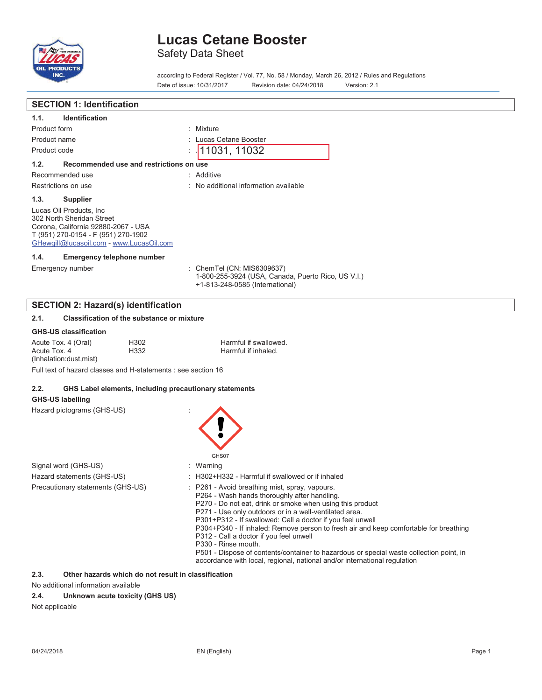

Safety Data Sheet

according to Federal Register / Vol. 77, No. 58 / Monday, March 26, 2012 / Rules and Regulations Date of issue: 10/31/2017 Revision date: 04/24/2018 Version: 2.1

| <b>SECTION 1: Identification</b>                                                                                                                                                |                                                                                                                                                                                                                                                                                                                                                                                                                                                                                                                                                                                                                        |
|---------------------------------------------------------------------------------------------------------------------------------------------------------------------------------|------------------------------------------------------------------------------------------------------------------------------------------------------------------------------------------------------------------------------------------------------------------------------------------------------------------------------------------------------------------------------------------------------------------------------------------------------------------------------------------------------------------------------------------------------------------------------------------------------------------------|
| <b>Identification</b><br>1.1.                                                                                                                                                   |                                                                                                                                                                                                                                                                                                                                                                                                                                                                                                                                                                                                                        |
| Product form                                                                                                                                                                    | : Mixture                                                                                                                                                                                                                                                                                                                                                                                                                                                                                                                                                                                                              |
| Product name                                                                                                                                                                    | : Lucas Cetane Booster                                                                                                                                                                                                                                                                                                                                                                                                                                                                                                                                                                                                 |
| Product code                                                                                                                                                                    | 11031, 11032                                                                                                                                                                                                                                                                                                                                                                                                                                                                                                                                                                                                           |
| 1.2.<br>Recommended use and restrictions on use                                                                                                                                 |                                                                                                                                                                                                                                                                                                                                                                                                                                                                                                                                                                                                                        |
| Recommended use                                                                                                                                                                 | : Additive                                                                                                                                                                                                                                                                                                                                                                                                                                                                                                                                                                                                             |
| Restrictions on use                                                                                                                                                             | : No additional information available                                                                                                                                                                                                                                                                                                                                                                                                                                                                                                                                                                                  |
| 1.3.<br><b>Supplier</b>                                                                                                                                                         |                                                                                                                                                                                                                                                                                                                                                                                                                                                                                                                                                                                                                        |
| Lucas Oil Products, Inc.<br>302 North Sheridan Street<br>Corona, California 92880-2067 - USA<br>T (951) 270-0154 - F (951) 270-1902<br>GHewgill@lucasoil.com - www.LucasOil.com |                                                                                                                                                                                                                                                                                                                                                                                                                                                                                                                                                                                                                        |
| 1.4.<br><b>Emergency telephone number</b>                                                                                                                                       |                                                                                                                                                                                                                                                                                                                                                                                                                                                                                                                                                                                                                        |
| Emergency number                                                                                                                                                                | : ChemTel (CN: MIS6309637)<br>1-800-255-3924 (USA, Canada, Puerto Rico, US V.I.)<br>+1-813-248-0585 (International)                                                                                                                                                                                                                                                                                                                                                                                                                                                                                                    |
| <b>SECTION 2: Hazard(s) identification</b>                                                                                                                                      |                                                                                                                                                                                                                                                                                                                                                                                                                                                                                                                                                                                                                        |
| <b>Classification of the substance or mixture</b><br>2.1.                                                                                                                       |                                                                                                                                                                                                                                                                                                                                                                                                                                                                                                                                                                                                                        |
| <b>GHS-US classification</b>                                                                                                                                                    |                                                                                                                                                                                                                                                                                                                                                                                                                                                                                                                                                                                                                        |
| Acute Tox. 4 (Oral)<br>H302<br>Acute Tox. 4<br>H332<br>(Inhalation:dust,mist)                                                                                                   | Harmful if swallowed.<br>Harmful if inhaled.                                                                                                                                                                                                                                                                                                                                                                                                                                                                                                                                                                           |
| Full text of hazard classes and H-statements : see section 16                                                                                                                   |                                                                                                                                                                                                                                                                                                                                                                                                                                                                                                                                                                                                                        |
| 2.2.                                                                                                                                                                            | GHS Label elements, including precautionary statements                                                                                                                                                                                                                                                                                                                                                                                                                                                                                                                                                                 |
| <b>GHS-US labelling</b>                                                                                                                                                         |                                                                                                                                                                                                                                                                                                                                                                                                                                                                                                                                                                                                                        |
| Hazard pictograms (GHS-US)                                                                                                                                                      | GHS07                                                                                                                                                                                                                                                                                                                                                                                                                                                                                                                                                                                                                  |
| Signal word (GHS-US)                                                                                                                                                            | : Warning                                                                                                                                                                                                                                                                                                                                                                                                                                                                                                                                                                                                              |
| Hazard statements (GHS-US)                                                                                                                                                      | : H302+H332 - Harmful if swallowed or if inhaled                                                                                                                                                                                                                                                                                                                                                                                                                                                                                                                                                                       |
| Precautionary statements (GHS-US)                                                                                                                                               | : P261 - Avoid breathing mist, spray, vapours.<br>P264 - Wash hands thoroughly after handling.<br>P270 - Do not eat, drink or smoke when using this product<br>P271 - Use only outdoors or in a well-ventilated area.<br>P301+P312 - If swallowed: Call a doctor if you feel unwell<br>P304+P340 - If inhaled: Remove person to fresh air and keep comfortable for breathing<br>P312 - Call a doctor if you feel unwell<br>P330 - Rinse mouth.<br>P501 - Dispose of contents/container to hazardous or special waste collection point, in<br>accordance with local, regional, national and/or international regulation |

**2.3. Other hazards which do not result in classification** 

No additional information available

### **2.4. Unknown acute toxicity (GHS US)**

Not applicable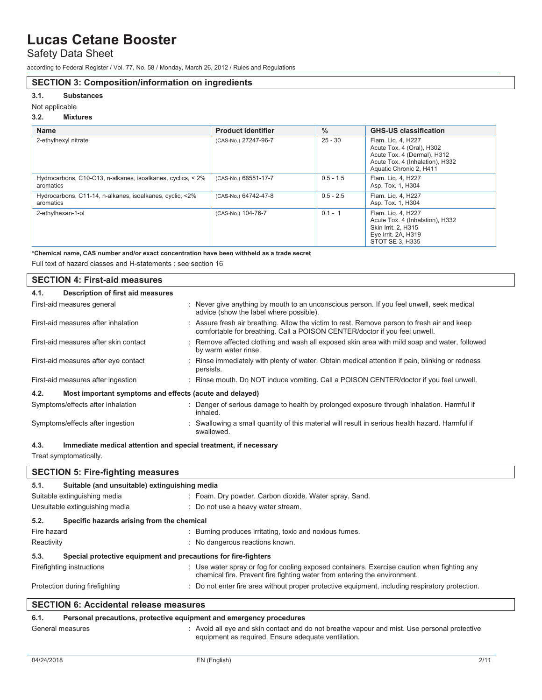Safety Data Sheet

according to Federal Register / Vol. 77, No. 58 / Monday, March 26, 2012 / Rules and Regulations

### **SECTION 3: Composition/information on ingredients**

### **3.1. Substances**

### Not applicable

### **3.2. Mixtures**

| <b>Name</b>                                                              | <b>Product identifier</b> | $\frac{0}{0}$ | <b>GHS-US classification</b>                                                                                                                 |
|--------------------------------------------------------------------------|---------------------------|---------------|----------------------------------------------------------------------------------------------------------------------------------------------|
| 2-ethylhexyl nitrate                                                     | (CAS-No.) 27247-96-7      | $25 - 30$     | Flam. Lig. 4, H227<br>Acute Tox. 4 (Oral), H302<br>Acute Tox. 4 (Dermal), H312<br>Acute Tox. 4 (Inhalation), H332<br>Aquatic Chronic 2, H411 |
| Hydrocarbons, C10-C13, n-alkanes, isoalkanes, cyclics, < 2%<br>aromatics | (CAS-No.) 68551-17-7      | $0.5 - 1.5$   | Flam. Lig. 4, H227<br>Asp. Tox. 1, H304                                                                                                      |
| Hydrocarbons, C11-14, n-alkanes, isoalkanes, cyclic, <2%<br>aromatics    | (CAS-No.) 64742-47-8      | $0.5 - 2.5$   | Flam. Lig. 4, H227<br>Asp. Tox. 1, H304                                                                                                      |
| 2-ethylhexan-1-ol                                                        | (CAS-No.) 104-76-7        | $0.1 - 1$     | Flam. Lig. 4, H227<br>Acute Tox. 4 (Inhalation), H332<br>Skin Irrit. 2. H315<br>Eye Irrit. 2A, H319<br>STOT SE 3, H335                       |

**\*Chemical name, CAS number and/or exact concentration have been withheld as a trade secret** 

Full text of hazard classes and H-statements : see section 16

| <b>SECTION 4: First-aid measures</b>                            |                                                                                                                                                                           |
|-----------------------------------------------------------------|---------------------------------------------------------------------------------------------------------------------------------------------------------------------------|
| Description of first aid measures<br>4.1.                       |                                                                                                                                                                           |
| First-aid measures general                                      | : Never give anything by mouth to an unconscious person. If you feel unwell, seek medical<br>advice (show the label where possible).                                      |
| First-aid measures after inhalation                             | : Assure fresh air breathing. Allow the victim to rest. Remove person to fresh air and keep<br>comfortable for breathing. Call a POISON CENTER/doctor if you feel unwell. |
| First-aid measures after skin contact                           | : Remove affected clothing and wash all exposed skin area with mild soap and water, followed<br>by warm water rinse.                                                      |
| First-aid measures after eye contact                            | : Rinse immediately with plenty of water. Obtain medical attention if pain, blinking or redness<br>persists.                                                              |
| First-aid measures after ingestion                              | : Rinse mouth. Do NOT induce vomiting. Call a POISON CENTER/doctor if you feel unwell.                                                                                    |
| 4.2.<br>Most important symptoms and effects (acute and delayed) |                                                                                                                                                                           |
| Symptoms/effects after inhalation                               | : Danger of serious damage to health by prolonged exposure through inhalation. Harmful if<br>inhaled.                                                                     |
| Symptoms/effects after ingestion                                | : Swallowing a small quantity of this material will result in serious health hazard. Harmful if<br>swallowed.                                                             |

#### **4.3. Immediate medical attention and special treatment, if necessary**

Treat symptomatically.

|                                | <b>SECTION 5: Fire-fighting measures</b>                       |                                                                                                                                                                          |
|--------------------------------|----------------------------------------------------------------|--------------------------------------------------------------------------------------------------------------------------------------------------------------------------|
| 5.1.                           | Suitable (and unsuitable) extinguishing media                  |                                                                                                                                                                          |
|                                | Suitable extinguishing media                                   | : Foam. Dry powder. Carbon dioxide. Water spray. Sand.                                                                                                                   |
|                                | Unsuitable extinguishing media                                 | : Do not use a heavy water stream.                                                                                                                                       |
| 5.2.                           | Specific hazards arising from the chemical                     |                                                                                                                                                                          |
| Fire hazard                    |                                                                | : Burning produces irritating, toxic and noxious fumes.                                                                                                                  |
| Reactivity                     |                                                                | : No dangerous reactions known.                                                                                                                                          |
| 5.3.                           | Special protective equipment and precautions for fire-fighters |                                                                                                                                                                          |
| Firefighting instructions      |                                                                | : Use water spray or fog for cooling exposed containers. Exercise caution when fighting any<br>chemical fire. Prevent fire fighting water from entering the environment. |
| Protection during firefighting |                                                                | : Do not enter fire area without proper protective equipment, including respiratory protection.                                                                          |
|                                | <b>SECTION 6: Accidental release measures</b>                  |                                                                                                                                                                          |
| 6.1.                           |                                                                | Personal precautions, protective equipment and emergency procedures                                                                                                      |

### General measures **interpretatal measures** : Avoid all eye and skin contact and do not breathe vapour and mist. Use personal protective equipment as required. Ensure adequate ventilation.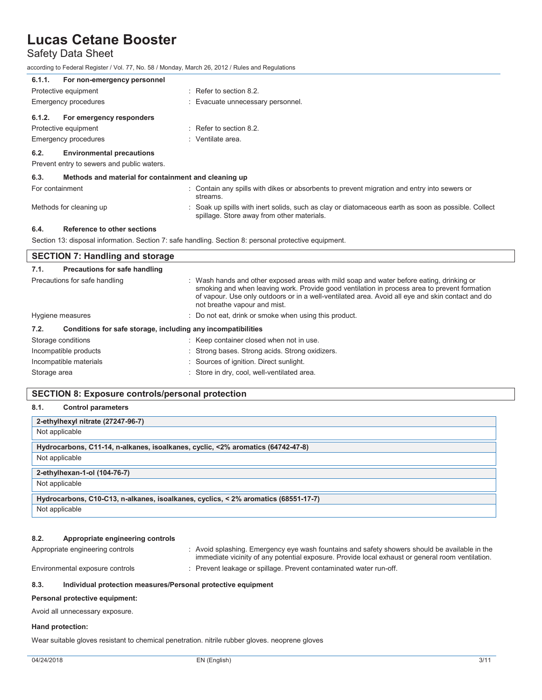## Safety Data Sheet

according to Federal Register / Vol. 77, No. 58 / Monday, March 26, 2012 / Rules and Regulations

| For non-emergency personnel<br>6.1.1.                        |                                                                                                                                                   |
|--------------------------------------------------------------|---------------------------------------------------------------------------------------------------------------------------------------------------|
| Protective equipment                                         | $\therefore$ Refer to section 8.2.                                                                                                                |
| Emergency procedures                                         | : Evacuate unnecessary personnel.                                                                                                                 |
| For emergency responders<br>6.1.2.                           |                                                                                                                                                   |
| Protective equipment                                         | $\therefore$ Refer to section 8.2.                                                                                                                |
| <b>Emergency procedures</b>                                  | : Ventilate area.                                                                                                                                 |
| <b>Environmental precautions</b><br>6.2.                     |                                                                                                                                                   |
| Prevent entry to sewers and public waters.                   |                                                                                                                                                   |
| 6.3.<br>Methods and material for containment and cleaning up |                                                                                                                                                   |
| For containment                                              | : Contain any spills with dikes or absorbents to prevent migration and entry into sewers or<br>streams.                                           |
| Methods for cleaning up                                      | : Soak up spills with inert solids, such as clay or diatomaceous earth as soon as possible. Collect<br>spillage. Store away from other materials. |
| Reference to other sections<br>6.4.                          |                                                                                                                                                   |
|                                                              | Section 13: disposal information. Section 7: safe handling. Section 8: personal protective equipment.                                             |

### **SECTION 7: Handling and storage 7.1. Precautions for safe handling**  Precautions for safe handling : Wash hands and other exposed areas with mild soap and water before eating, drinking or smoking and when leaving work. Provide good ventilation in process area to prevent formation of vapour. Use only outdoors or in a well-ventilated area. Avoid all eye and skin contact and do not breathe vapour and mist. Hygiene measures **interpretent contract of the STS** on not eat, drink or smoke when using this product. **7.2. Conditions for safe storage, including any incompatibilities**  Storage conditions **Storage conditions** : Keep container closed when not in use. Incompatible products : Strong bases. Strong acids. Strong oxidizers. Incompatible materials : Sources of ignition. Direct sunlight. Storage area **in the state of the state of the Store in dry**, cool, well-ventilated area.

### **SECTION 8: Exposure controls/personal protection**

### **8.1. Control parameters**

| 2-ethylhexyl nitrate (27247-96-7)                                                  |
|------------------------------------------------------------------------------------|
| Not applicable                                                                     |
| Hydrocarbons, C11-14, n-alkanes, isoalkanes, cyclic, <2% aromatics (64742-47-8)    |
| Not applicable                                                                     |
| 2-ethylhexan-1-ol (104-76-7)                                                       |
| Not applicable                                                                     |
| Hydrocarbons, C10-C13, n-alkanes, isoalkanes, cyclics, < 2% aromatics (68551-17-7) |
| Not applicable                                                                     |

### **8.2. Appropriate engineering controls**

Appropriate engineering controls : Avoid splashing. Emergency eye wash fountains and safety showers should be available in the immediate vicinity of any potential exposure. Provide local exhaust or general room ventilation. Environmental exposure controls : Prevent leakage or spillage. Prevent contaminated water run-off.

### **8.3. Individual protection measures/Personal protective equipment**

### **Personal protective equipment:**

Avoid all unnecessary exposure.

### **Hand protection:**

Wear suitable gloves resistant to chemical penetration. nitrile rubber gloves. neoprene gloves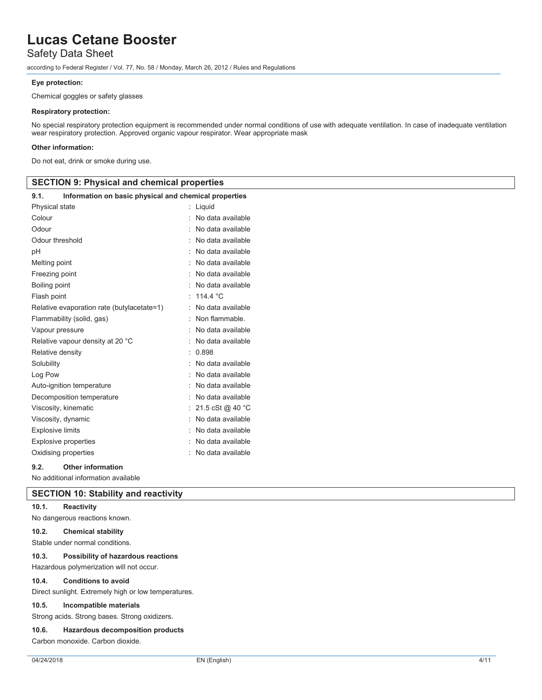## Safety Data Sheet

according to Federal Register / Vol. 77, No. 58 / Monday, March 26, 2012 / Rules and Regulations

### **Eye protection:**

Chemical goggles or safety glasses

### **Respiratory protection:**

No special respiratory protection equipment is recommended under normal conditions of use with adequate ventilation. In case of inadequate ventilation wear respiratory protection. Approved organic vapour respirator. Wear appropriate mask

### **Other information:**

Do not eat, drink or smoke during use.

|                                                               | <b>SECTION 9: Physical and chemical properties</b> |  |  |
|---------------------------------------------------------------|----------------------------------------------------|--|--|
| Information on basic physical and chemical properties<br>9.1. |                                                    |  |  |
| Physical state                                                | : Liquid                                           |  |  |
| Colour                                                        | : No data available                                |  |  |
| Odour                                                         | : No data available                                |  |  |
| Odour threshold                                               | : No data available                                |  |  |
| pH                                                            | : No data available                                |  |  |
| Melting point                                                 | : No data available                                |  |  |
| Freezing point                                                | : No data available                                |  |  |
| Boiling point                                                 | : No data available                                |  |  |
| Flash point                                                   | : 114.4 $^{\circ}$ C                               |  |  |
| Relative evaporation rate (butylacetate=1)                    | : No data available                                |  |  |
| Flammability (solid, gas)                                     | : Non flammable.                                   |  |  |
| Vapour pressure                                               | : No data available                                |  |  |
| Relative vapour density at 20 °C                              | : No data available                                |  |  |
| Relative density                                              | : 0.898                                            |  |  |
| Solubility                                                    | : No data available                                |  |  |
| Log Pow                                                       | : No data available                                |  |  |
| Auto-ignition temperature                                     | : No data available                                |  |  |
| Decomposition temperature                                     | : No data available                                |  |  |
| Viscosity, kinematic                                          | : 21.5 cSt @ 40 °C                                 |  |  |
| Viscosity, dynamic                                            | : No data available                                |  |  |
| <b>Explosive limits</b>                                       | : No data available                                |  |  |
| <b>Explosive properties</b>                                   | : No data available                                |  |  |
| Oxidising properties                                          | : No data available                                |  |  |
| 9.2.<br><b>Other information</b>                              |                                                    |  |  |

No additional information available

## **SECTION 10: Stability and reactivity**

### **10.1. Reactivity**

No dangerous reactions known.

### **10.2. Chemical stability**

Stable under normal conditions.

#### **10.3. Possibility of hazardous reactions**

Hazardous polymerization will not occur.

#### **10.4. Conditions to avoid**

Direct sunlight. Extremely high or low temperatures.

#### **10.5. Incompatible materials**

Strong acids. Strong bases. Strong oxidizers.

#### **10.6. Hazardous decomposition products**

Carbon monoxide. Carbon dioxide.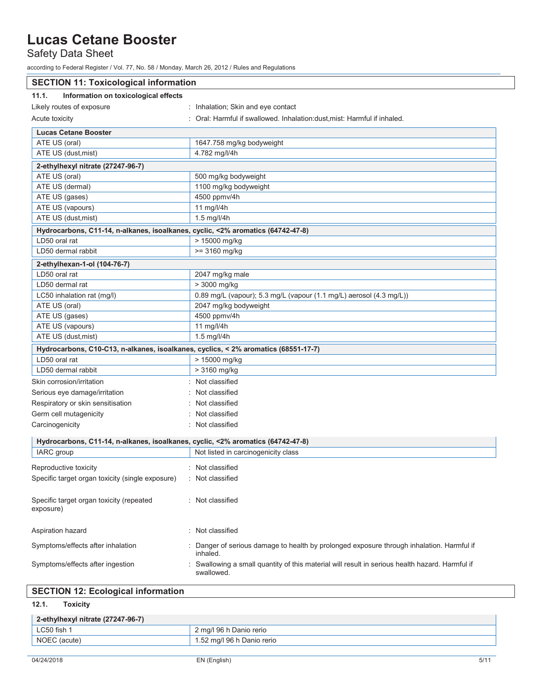Safety Data Sheet

according to Federal Register / Vol. 77, No. 58 / Monday, March 26, 2012 / Rules and Regulations

| <b>SECTION 11: Toxicological information</b>                                       |                                                                                                             |  |
|------------------------------------------------------------------------------------|-------------------------------------------------------------------------------------------------------------|--|
| 11.1.<br>Information on toxicological effects                                      |                                                                                                             |  |
| Likely routes of exposure                                                          | : Inhalation; Skin and eye contact                                                                          |  |
| Acute toxicity                                                                     | : Oral: Harmful if swallowed. Inhalation: dust, mist: Harmful if inhaled.                                   |  |
| <b>Lucas Cetane Booster</b>                                                        |                                                                                                             |  |
| ATE US (oral)                                                                      | 1647.758 mg/kg bodyweight                                                                                   |  |
| ATE US (dust, mist)                                                                | 4.782 mg/l/4h                                                                                               |  |
| 2-ethylhexyl nitrate (27247-96-7)                                                  |                                                                                                             |  |
| ATE US (oral)                                                                      | 500 mg/kg bodyweight                                                                                        |  |
| ATE US (dermal)                                                                    | 1100 mg/kg bodyweight                                                                                       |  |
| ATE US (gases)                                                                     | 4500 ppmv/4h                                                                                                |  |
| ATE US (vapours)                                                                   | 11 mg/l/4h                                                                                                  |  |
| ATE US (dust, mist)                                                                | 1.5 mg/l/4h                                                                                                 |  |
| Hydrocarbons, C11-14, n-alkanes, isoalkanes, cyclic, <2% aromatics (64742-47-8)    |                                                                                                             |  |
| LD50 oral rat                                                                      | > 15000 mg/kg                                                                                               |  |
| LD50 dermal rabbit                                                                 | $>= 3160$ mg/kg                                                                                             |  |
| 2-ethylhexan-1-ol (104-76-7)                                                       |                                                                                                             |  |
| LD50 oral rat                                                                      | 2047 mg/kg male                                                                                             |  |
| LD50 dermal rat                                                                    | > 3000 mg/kg                                                                                                |  |
| LC50 inhalation rat (mq/l)                                                         | 0.89 mg/L (vapour); 5.3 mg/L (vapour (1.1 mg/L) aerosol (4.3 mg/L))                                         |  |
| ATE US (oral)                                                                      | 2047 mg/kg bodyweight                                                                                       |  |
| ATE US (gases)                                                                     | 4500 ppmv/4h                                                                                                |  |
| ATE US (vapours)                                                                   | 11 mg/l/4h                                                                                                  |  |
| ATE US (dust, mist)                                                                | 1.5 mg/l/4h                                                                                                 |  |
| Hydrocarbons, C10-C13, n-alkanes, isoalkanes, cyclics, < 2% aromatics (68551-17-7) |                                                                                                             |  |
| LD50 oral rat                                                                      | > 15000 mg/kg                                                                                               |  |
| LD50 dermal rabbit                                                                 | > 3160 mg/kg                                                                                                |  |
| Skin corrosion/irritation                                                          | : Not classified                                                                                            |  |
| Serious eye damage/irritation                                                      | Not classified                                                                                              |  |
| Respiratory or skin sensitisation                                                  | Not classified                                                                                              |  |
| Germ cell mutagenicity                                                             | Not classified                                                                                              |  |
| Carcinogenicity                                                                    | : Not classified                                                                                            |  |
| Hydrocarbons, C11-14, n-alkanes, isoalkanes, cyclic, <2% aromatics (64742-47-8)    |                                                                                                             |  |
| IARC group                                                                         | Not listed in carcinogenicity class                                                                         |  |
|                                                                                    |                                                                                                             |  |
| Reproductive toxicity                                                              | : Not classified                                                                                            |  |
| Specific target organ toxicity (single exposure)                                   | : Not classified                                                                                            |  |
| Specific target organ toxicity (repeated<br>exposure)                              | Not classified                                                                                              |  |
| Aspiration hazard                                                                  | : Not classified                                                                                            |  |
| Symptoms/effects after inhalation                                                  | Danger of serious damage to health by prolonged exposure through inhalation. Harmful if<br>inhaled.         |  |
| Symptoms/effects after ingestion                                                   | Swallowing a small quantity of this material will result in serious health hazard. Harmful if<br>swallowed. |  |
|                                                                                    |                                                                                                             |  |

**12.1. Toxicity** 

| 2-ethylhexyl nitrate (27247-96-7) |                            |  |
|-----------------------------------|----------------------------|--|
| LC50 fish                         | 2 mg/l 96 h Danio rerio    |  |
| NOEC (acute)                      | 1.52 mg/l 96 h Danio rerio |  |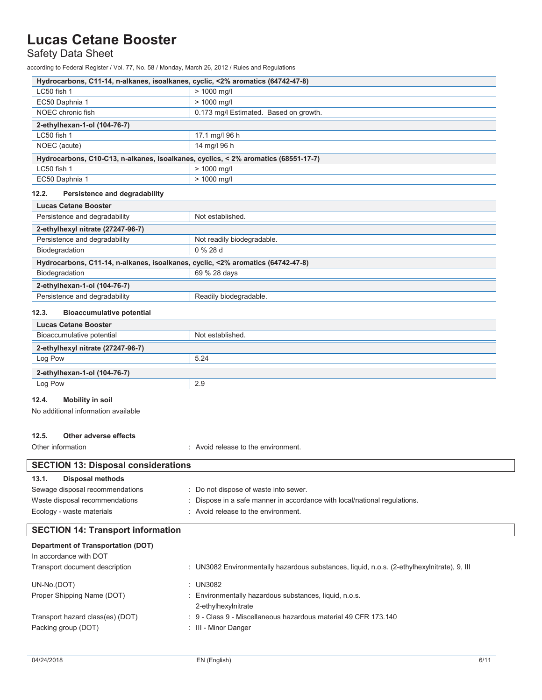Safety Data Sheet

according to Federal Register / Vol. 77, No. 58 / Monday, March 26, 2012 / Rules and Regulations

| Hydrocarbons, C11-14, n-alkanes, isoalkanes, cyclic, <2% aromatics (64742-47-8)    |                                        |  |
|------------------------------------------------------------------------------------|----------------------------------------|--|
| LC50 fish 1                                                                        | $> 1000$ mg/l                          |  |
| EC50 Daphnia 1                                                                     | $> 1000$ mg/l                          |  |
| NOEC chronic fish                                                                  | 0.173 mg/l Estimated. Based on growth. |  |
| 2-ethylhexan-1-ol (104-76-7)                                                       |                                        |  |
| LC50 fish 1                                                                        | 17.1 mg/l 96 h                         |  |
| NOEC (acute)                                                                       | 14 mg/l 96 h                           |  |
| Hydrocarbons, C10-C13, n-alkanes, isoalkanes, cyclics, < 2% aromatics (68551-17-7) |                                        |  |
| LC50 fish 1                                                                        | $> 1000$ mg/l                          |  |
| EC50 Daphnia 1                                                                     | $> 1000$ mg/l                          |  |

### **12.2. Persistence and degradability**

| <b>Lucas Cetane Booster</b>                                                     |  |  |  |
|---------------------------------------------------------------------------------|--|--|--|
| Not established.                                                                |  |  |  |
|                                                                                 |  |  |  |
| Not readily biodegradable.                                                      |  |  |  |
| $0\%28d$                                                                        |  |  |  |
| Hydrocarbons, C11-14, n-alkanes, isoalkanes, cyclic, <2% aromatics (64742-47-8) |  |  |  |
| 69 % 28 days                                                                    |  |  |  |
| 2-ethylhexan-1-ol (104-76-7)                                                    |  |  |  |
| Readily biodegradable.                                                          |  |  |  |
|                                                                                 |  |  |  |

### **12.3. Bioaccumulative potential**

| <b>Lucas Cetane Booster</b>       |                  |
|-----------------------------------|------------------|
| Bioaccumulative potential         | Not established. |
| 2-ethylhexyl nitrate (27247-96-7) |                  |
| Log Pow                           | 5.24             |
| 2-ethylhexan-1-ol (104-76-7)      |                  |
| Log Pow                           | 2.9              |

## **12.4. Mobility in soil**

No additional information available

### **12.5. Other adverse effects**

Other information **COLOGY COLOGY COLOGY COLOGY COLOGY COLOGY COLOGY COLOGY COLOGY COLOGY COLOGY COLOGY COLOGY COLOGY COLOGY COLOGY COLOGY COLOGY COLOGY COLOGY COLOGY COLOGY COLOG** 

| <b>SECTION 13: Disposal considerations</b> |                                                                           |  |
|--------------------------------------------|---------------------------------------------------------------------------|--|
| 13.1.<br>Disposal methods                  |                                                                           |  |
| Sewage disposal recommendations            | Do not dispose of waste into sewer.                                       |  |
| Waste disposal recommendations             | : Dispose in a safe manner in accordance with local/national regulations. |  |
| Ecology - waste materials                  | : Avoid release to the environment.                                       |  |

## **SECTION 14: Transport information**

| <b>Department of Transportation (DOT)</b><br>In accordance with DOT<br>Transport document description | : UN3082 Environmentally hazardous substances, liquid, n.o.s. (2-ethylhexylnitrate), 9, III  |
|-------------------------------------------------------------------------------------------------------|----------------------------------------------------------------------------------------------|
| UN-No.(DOT)<br>Proper Shipping Name (DOT)                                                             | : $UN3082$<br>: Environmentally hazardous substances, liquid, n.o.s.<br>2-ethylhexylnitrate  |
| Transport hazard class(es) (DOT)<br>Packing group (DOT)                                               | $\div$ 9 - Class 9 - Miscellaneous hazardous material 49 CFR 173.140<br>: III - Minor Danger |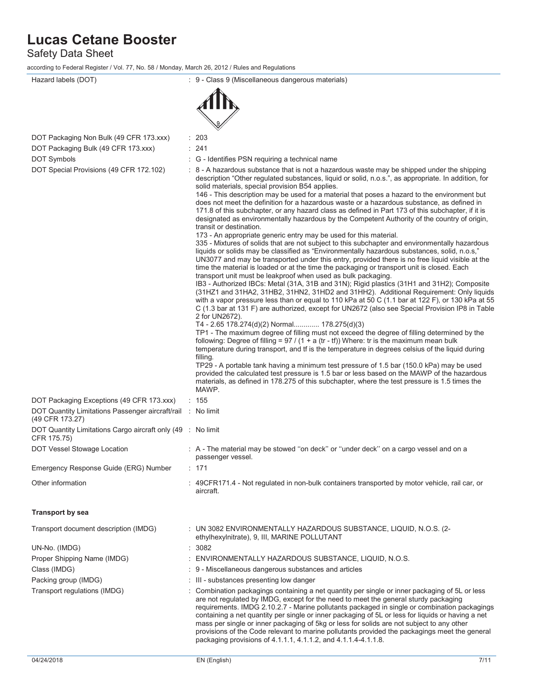Safety Data Sheet

according to Federal Register / Vol. 77, No. 58 / Monday, March 26, 2012 / Rules and Regulations

| Hazard labels (DOT)                                                            | : 9 - Class 9 (Miscellaneous dangerous materials)                                                                                                                                                                                                                                                                                                                                                                                                                                                                                                                                                                                                                                                                                                                                                                                                                                                                                                                                                                                                                                                                                                                                                                                                                                                                                                                                                                                                                                                                                                                                                                                                                                                                                                                                                                                                                                                                                                                                                                                                                                                                                                                                                                                                                                                              |
|--------------------------------------------------------------------------------|----------------------------------------------------------------------------------------------------------------------------------------------------------------------------------------------------------------------------------------------------------------------------------------------------------------------------------------------------------------------------------------------------------------------------------------------------------------------------------------------------------------------------------------------------------------------------------------------------------------------------------------------------------------------------------------------------------------------------------------------------------------------------------------------------------------------------------------------------------------------------------------------------------------------------------------------------------------------------------------------------------------------------------------------------------------------------------------------------------------------------------------------------------------------------------------------------------------------------------------------------------------------------------------------------------------------------------------------------------------------------------------------------------------------------------------------------------------------------------------------------------------------------------------------------------------------------------------------------------------------------------------------------------------------------------------------------------------------------------------------------------------------------------------------------------------------------------------------------------------------------------------------------------------------------------------------------------------------------------------------------------------------------------------------------------------------------------------------------------------------------------------------------------------------------------------------------------------------------------------------------------------------------------------------------------------|
|                                                                                |                                                                                                                                                                                                                                                                                                                                                                                                                                                                                                                                                                                                                                                                                                                                                                                                                                                                                                                                                                                                                                                                                                                                                                                                                                                                                                                                                                                                                                                                                                                                                                                                                                                                                                                                                                                                                                                                                                                                                                                                                                                                                                                                                                                                                                                                                                                |
| DOT Packaging Non Bulk (49 CFR 173.xxx)<br>DOT Packaging Bulk (49 CFR 173.xxx) | : 203<br>: 241                                                                                                                                                                                                                                                                                                                                                                                                                                                                                                                                                                                                                                                                                                                                                                                                                                                                                                                                                                                                                                                                                                                                                                                                                                                                                                                                                                                                                                                                                                                                                                                                                                                                                                                                                                                                                                                                                                                                                                                                                                                                                                                                                                                                                                                                                                 |
| DOT Symbols                                                                    | : G - Identifies PSN requiring a technical name                                                                                                                                                                                                                                                                                                                                                                                                                                                                                                                                                                                                                                                                                                                                                                                                                                                                                                                                                                                                                                                                                                                                                                                                                                                                                                                                                                                                                                                                                                                                                                                                                                                                                                                                                                                                                                                                                                                                                                                                                                                                                                                                                                                                                                                                |
| DOT Special Provisions (49 CFR 172.102)                                        |                                                                                                                                                                                                                                                                                                                                                                                                                                                                                                                                                                                                                                                                                                                                                                                                                                                                                                                                                                                                                                                                                                                                                                                                                                                                                                                                                                                                                                                                                                                                                                                                                                                                                                                                                                                                                                                                                                                                                                                                                                                                                                                                                                                                                                                                                                                |
|                                                                                | : 8 - A hazardous substance that is not a hazardous waste may be shipped under the shipping<br>description "Other regulated substances, liquid or solid, n.o.s.", as appropriate. In addition, for<br>solid materials, special provision B54 applies.<br>146 - This description may be used for a material that poses a hazard to the environment but<br>does not meet the definition for a hazardous waste or a hazardous substance, as defined in<br>171.8 of this subchapter, or any hazard class as defined in Part 173 of this subchapter, if it is<br>designated as environmentally hazardous by the Competent Authority of the country of origin,<br>transit or destination.<br>173 - An appropriate generic entry may be used for this material.<br>335 - Mixtures of solids that are not subject to this subchapter and environmentally hazardous<br>liquids or solids may be classified as "Environmentally hazardous substances, solid, n.o.s,"<br>UN3077 and may be transported under this entry, provided there is no free liquid visible at the<br>time the material is loaded or at the time the packaging or transport unit is closed. Each<br>transport unit must be leakproof when used as bulk packaging.<br>IB3 - Authorized IBCs: Metal (31A, 31B and 31N); Rigid plastics (31H1 and 31H2); Composite<br>(31HZ1 and 31HA2, 31HB2, 31HN2, 31HD2 and 31HH2). Additional Requirement: Only liquids<br>with a vapor pressure less than or equal to 110 kPa at 50 C (1.1 bar at 122 F), or 130 kPa at 55<br>C (1.3 bar at 131 F) are authorized, except for UN2672 (also see Special Provision IP8 in Table<br>2 for UN2672).<br>T4 - 2.65 178.274(d)(2) Normal 178.275(d)(3)<br>TP1 - The maximum degree of filling must not exceed the degree of filling determined by the<br>following: Degree of filling = $97 / (1 + a (tr - tf))$ Where: tr is the maximum mean bulk<br>temperature during transport, and tf is the temperature in degrees celsius of the liquid during<br>filling.<br>TP29 - A portable tank having a minimum test pressure of 1.5 bar (150.0 kPa) may be used<br>provided the calculated test pressure is 1.5 bar or less based on the MAWP of the hazardous<br>materials, as defined in 178.275 of this subchapter, where the test pressure is 1.5 times the<br>MAWP. |
| DOT Packaging Exceptions (49 CFR 173.xxx)                                      | : 155                                                                                                                                                                                                                                                                                                                                                                                                                                                                                                                                                                                                                                                                                                                                                                                                                                                                                                                                                                                                                                                                                                                                                                                                                                                                                                                                                                                                                                                                                                                                                                                                                                                                                                                                                                                                                                                                                                                                                                                                                                                                                                                                                                                                                                                                                                          |
| DOT Quantity Limitations Passenger aircraft/rail<br>(49 CFR 173.27)            | : No limit                                                                                                                                                                                                                                                                                                                                                                                                                                                                                                                                                                                                                                                                                                                                                                                                                                                                                                                                                                                                                                                                                                                                                                                                                                                                                                                                                                                                                                                                                                                                                                                                                                                                                                                                                                                                                                                                                                                                                                                                                                                                                                                                                                                                                                                                                                     |
| DOT Quantity Limitations Cargo aircraft only (49 : No limit<br>CFR 175.75)     |                                                                                                                                                                                                                                                                                                                                                                                                                                                                                                                                                                                                                                                                                                                                                                                                                                                                                                                                                                                                                                                                                                                                                                                                                                                                                                                                                                                                                                                                                                                                                                                                                                                                                                                                                                                                                                                                                                                                                                                                                                                                                                                                                                                                                                                                                                                |
| DOT Vessel Stowage Location                                                    | : A - The material may be stowed "on deck" or "under deck" on a cargo vessel and on a<br>passenger vessel.                                                                                                                                                                                                                                                                                                                                                                                                                                                                                                                                                                                                                                                                                                                                                                                                                                                                                                                                                                                                                                                                                                                                                                                                                                                                                                                                                                                                                                                                                                                                                                                                                                                                                                                                                                                                                                                                                                                                                                                                                                                                                                                                                                                                     |
| Emergency Response Guide (ERG) Number                                          | : 171                                                                                                                                                                                                                                                                                                                                                                                                                                                                                                                                                                                                                                                                                                                                                                                                                                                                                                                                                                                                                                                                                                                                                                                                                                                                                                                                                                                                                                                                                                                                                                                                                                                                                                                                                                                                                                                                                                                                                                                                                                                                                                                                                                                                                                                                                                          |
| Other information                                                              | : 49CFR171.4 - Not regulated in non-bulk containers transported by motor vehicle, rail car, or<br>aircraft.                                                                                                                                                                                                                                                                                                                                                                                                                                                                                                                                                                                                                                                                                                                                                                                                                                                                                                                                                                                                                                                                                                                                                                                                                                                                                                                                                                                                                                                                                                                                                                                                                                                                                                                                                                                                                                                                                                                                                                                                                                                                                                                                                                                                    |
| Transport by sea                                                               |                                                                                                                                                                                                                                                                                                                                                                                                                                                                                                                                                                                                                                                                                                                                                                                                                                                                                                                                                                                                                                                                                                                                                                                                                                                                                                                                                                                                                                                                                                                                                                                                                                                                                                                                                                                                                                                                                                                                                                                                                                                                                                                                                                                                                                                                                                                |
| Transport document description (IMDG)                                          | : UN 3082 ENVIRONMENTALLY HAZARDOUS SUBSTANCE, LIQUID, N.O.S. (2-<br>ethylhexylnitrate), 9, III, MARINE POLLUTANT                                                                                                                                                                                                                                                                                                                                                                                                                                                                                                                                                                                                                                                                                                                                                                                                                                                                                                                                                                                                                                                                                                                                                                                                                                                                                                                                                                                                                                                                                                                                                                                                                                                                                                                                                                                                                                                                                                                                                                                                                                                                                                                                                                                              |
| UN-No. (IMDG)                                                                  | : 3082                                                                                                                                                                                                                                                                                                                                                                                                                                                                                                                                                                                                                                                                                                                                                                                                                                                                                                                                                                                                                                                                                                                                                                                                                                                                                                                                                                                                                                                                                                                                                                                                                                                                                                                                                                                                                                                                                                                                                                                                                                                                                                                                                                                                                                                                                                         |
| Proper Shipping Name (IMDG)                                                    | : ENVIRONMENTALLY HAZARDOUS SUBSTANCE, LIQUID, N.O.S.                                                                                                                                                                                                                                                                                                                                                                                                                                                                                                                                                                                                                                                                                                                                                                                                                                                                                                                                                                                                                                                                                                                                                                                                                                                                                                                                                                                                                                                                                                                                                                                                                                                                                                                                                                                                                                                                                                                                                                                                                                                                                                                                                                                                                                                          |
| Class (IMDG)                                                                   | : 9 - Miscellaneous dangerous substances and articles                                                                                                                                                                                                                                                                                                                                                                                                                                                                                                                                                                                                                                                                                                                                                                                                                                                                                                                                                                                                                                                                                                                                                                                                                                                                                                                                                                                                                                                                                                                                                                                                                                                                                                                                                                                                                                                                                                                                                                                                                                                                                                                                                                                                                                                          |
| Packing group (IMDG)                                                           | : III - substances presenting low danger                                                                                                                                                                                                                                                                                                                                                                                                                                                                                                                                                                                                                                                                                                                                                                                                                                                                                                                                                                                                                                                                                                                                                                                                                                                                                                                                                                                                                                                                                                                                                                                                                                                                                                                                                                                                                                                                                                                                                                                                                                                                                                                                                                                                                                                                       |
| Transport regulations (IMDG)                                                   | Combination packagings containing a net quantity per single or inner packaging of 5L or less<br>are not regulated by IMDG, except for the need to meet the general sturdy packaging<br>requirements. IMDG 2.10.2.7 - Marine pollutants packaged in single or combination packagings<br>containing a net quantity per single or inner packaging of 5L or less for liquids or having a net<br>mass per single or inner packaging of 5kg or less for solids are not subject to any other<br>provisions of the Code relevant to marine pollutants provided the packagings meet the general<br>packaging provisions of 4.1.1.1, 4.1.1.2, and 4.1.1.4-4.1.1.8.                                                                                                                                                                                                                                                                                                                                                                                                                                                                                                                                                                                                                                                                                                                                                                                                                                                                                                                                                                                                                                                                                                                                                                                                                                                                                                                                                                                                                                                                                                                                                                                                                                                       |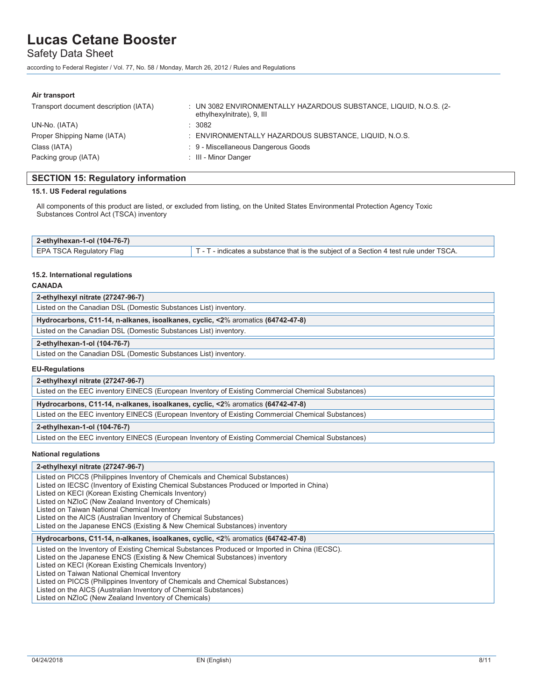Safety Data Sheet

according to Federal Register / Vol. 77, No. 58 / Monday, March 26, 2012 / Rules and Regulations

#### **Air transport**

| Transport document description (IATA) | : UN 3082 ENVIRONMENTALLY HAZARDOUS SUBSTANCE, LIQUID, N.O.S. (2-<br>ethylhexylnitrate), 9, III |
|---------------------------------------|-------------------------------------------------------------------------------------------------|
| UN-No. (IATA)                         | : 3082                                                                                          |
| Proper Shipping Name (IATA)           | : ENVIRONMENTALLY HAZARDOUS SUBSTANCE, LIQUID, N.O.S.                                           |
| Class (IATA)                          | : 9 - Miscellaneous Dangerous Goods                                                             |
| Packing group (IATA)                  | : III - Minor Danger                                                                            |

## **SECTION 15: Regulatory information**

### **15.1. US Federal regulations**

All components of this product are listed, or excluded from listing, on the United States Environmental Protection Agency Toxic Substances Control Act (TSCA) inventory

| 2-ethylhexan-1-ol $(104-76-7)$ |                                                                                                           |
|--------------------------------|-----------------------------------------------------------------------------------------------------------|
| EPA TSCA Regulatory Flag       | $\overline{\phantom{a}}$ - indicates a substance that is the subiect of a Section 4 test rule under TSCA. |
|                                |                                                                                                           |

### **15.2. International regulations**

### **CANADA**

| 2-ethylhexyl nitrate (27247-96-7)                                               |
|---------------------------------------------------------------------------------|
| Listed on the Canadian DSL (Domestic Substances List) inventory.                |
| Hydrocarbons, C11-14, n-alkanes, isoalkanes, cyclic, <2% aromatics (64742-47-8) |
| Listed on the Canadian DSL (Domestic Substances List) inventory.                |
| 2-ethylhexan-1-ol (104-76-7)                                                    |
| Listed on the Canadian DSL (Domestic Substances List) inventory.                |

### **EU-Regulations**

| 2-ethylhexyl nitrate (27247-96-7)                                                                  |
|----------------------------------------------------------------------------------------------------|
| Listed on the EEC inventory EINECS (European Inventory of Existing Commercial Chemical Substances) |
| Hydrocarbons, C11-14, n-alkanes, isoalkanes, cyclic, <2% aromatics (64742-47-8)                    |
| Listed on the EEC inventory EINECS (European Inventory of Existing Commercial Chemical Substances) |
| 2-ethylhexan-1-ol (104-76-7)                                                                       |
| Listed on the EEC inventory EINECS (European Inventory of Existing Commercial Chemical Substances) |

#### **National regulations**

### **2-ethylhexyl nitrate (27247-96-7)**

| Listed on PICCS (Philippines Inventory of Chemicals and Chemical Substances)                   |
|------------------------------------------------------------------------------------------------|
| Listed on IECSC (Inventory of Existing Chemical Substances Produced or Imported in China)      |
| Listed on KECI (Korean Existing Chemicals Inventory)                                           |
| Listed on NZIoC (New Zealand Inventory of Chemicals)                                           |
| Listed on Taiwan National Chemical Inventory                                                   |
| Listed on the AICS (Australian Inventory of Chemical Substances)                               |
| Listed on the Japanese ENCS (Existing & New Chemical Substances) inventory                     |
|                                                                                                |
| Hydrocarbons, C11-14, n-alkanes, isoalkanes, cyclic, <2% aromatics (64742-47-8)                |
| Listed on the Inventory of Existing Chemical Substances Produced or Imported in China (IECSC). |
| Listed on the Japanese ENCS (Existing & New Chemical Substances) inventory                     |
| Listed on KECI (Korean Existing Chemicals Inventory)                                           |
| Listed on Taiwan National Chemical Inventory                                                   |
| Listed on PICCS (Philippines Inventory of Chemicals and Chemical Substances)                   |
| Listed on the AICS (Australian Inventory of Chemical Substances)                               |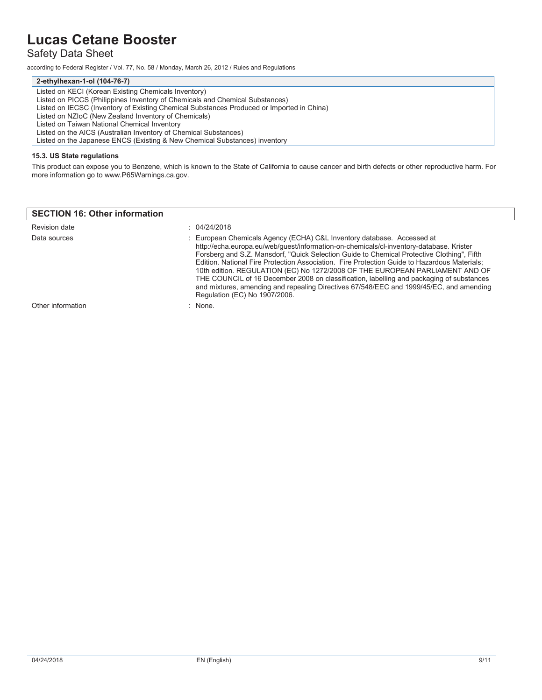## Safety Data Sheet

according to Federal Register / Vol. 77, No. 58 / Monday, March 26, 2012 / Rules and Regulations

#### **2-ethylhexan-1-ol (104-76-7)**

Listed on KECI (Korean Existing Chemicals Inventory) Listed on PICCS (Philippines Inventory of Chemicals and Chemical Substances) Listed on IECSC (Inventory of Existing Chemical Substances Produced or Imported in China) Listed on NZIoC (New Zealand Inventory of Chemicals) Listed on Taiwan National Chemical Inventory Listed on the AICS (Australian Inventory of Chemical Substances) Listed on the Japanese ENCS (Existing & New Chemical Substances) inventory

### **15.3. US State regulations**

This product can expose you to Benzene, which is known to the State of California to cause cancer and birth defects or other reproductive harm. For more information go to www.P65Warnings.ca.gov.

### **SECTION 16: Other information**

| Revision date     | : 04/24/2018                                                                                                                                                                                                                                                                                                                                                                                                                                                                                                                                                                                                                                                            |
|-------------------|-------------------------------------------------------------------------------------------------------------------------------------------------------------------------------------------------------------------------------------------------------------------------------------------------------------------------------------------------------------------------------------------------------------------------------------------------------------------------------------------------------------------------------------------------------------------------------------------------------------------------------------------------------------------------|
| Data sources      | : European Chemicals Agency (ECHA) C&L Inventory database. Accessed at<br>http://echa.europa.eu/web/guest/information-on-chemicals/cl-inventory-database. Krister<br>Forsberg and S.Z. Mansdorf, "Quick Selection Guide to Chemical Protective Clothing", Fifth<br>Edition. National Fire Protection Association. Fire Protection Guide to Hazardous Materials;<br>10th edition. REGULATION (EC) No 1272/2008 OF THE EUROPEAN PARLIAMENT AND OF<br>THE COUNCIL of 16 December 2008 on classification, labelling and packaging of substances<br>and mixtures, amending and repealing Directives 67/548/EEC and 1999/45/EC, and amending<br>Regulation (EC) No 1907/2006. |
| Other information | : None.                                                                                                                                                                                                                                                                                                                                                                                                                                                                                                                                                                                                                                                                 |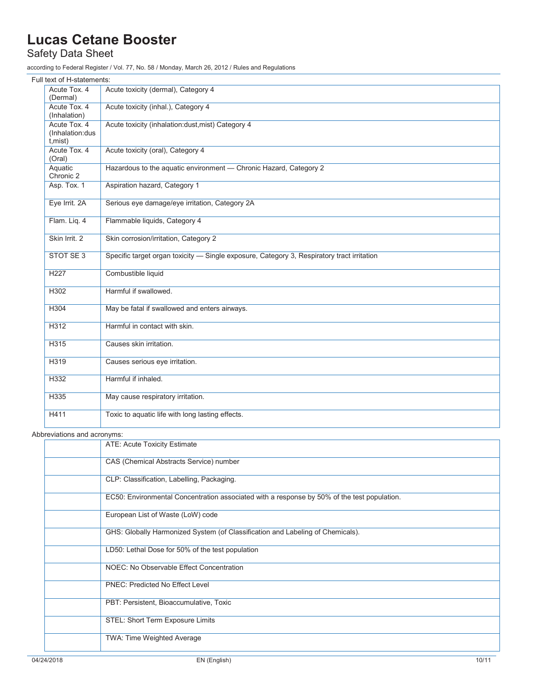## Safety Data Sheet

according to Federal Register / Vol. 77, No. 58 / Monday, March 26, 2012 / Rules and Regulations

| Full text of H-statements:                  |                                                                                            |
|---------------------------------------------|--------------------------------------------------------------------------------------------|
| Acute Tox. 4<br>(Dermal)                    | Acute toxicity (dermal), Category 4                                                        |
| Acute Tox, 4<br>(Inhalation)                | Acute toxicity (inhal.), Category 4                                                        |
| Acute Tox, 4<br>(Inhalation:dus<br>t, mist) | Acute toxicity (inhalation:dust, mist) Category 4                                          |
| Acute Tox. 4<br>(Oral)                      | Acute toxicity (oral), Category 4                                                          |
| Aquatic<br>Chronic 2                        | Hazardous to the aquatic environment - Chronic Hazard, Category 2                          |
| Asp. Tox. 1                                 | Aspiration hazard, Category 1                                                              |
| Eye Irrit. 2A                               | Serious eye damage/eye irritation, Category 2A                                             |
| Flam. Liq. 4                                | Flammable liquids, Category 4                                                              |
| Skin Irrit. 2                               | Skin corrosion/irritation, Category 2                                                      |
| STOT SE 3                                   | Specific target organ toxicity - Single exposure, Category 3, Respiratory tract irritation |
| H <sub>227</sub>                            | Combustible liquid                                                                         |
| H302                                        | Harmful if swallowed.                                                                      |
| H304                                        | May be fatal if swallowed and enters airways.                                              |
| H312                                        | Harmful in contact with skin.                                                              |
| H315                                        | Causes skin irritation.                                                                    |
| H319                                        | Causes serious eye irritation.                                                             |
| H332                                        | Harmful if inhaled.                                                                        |
| H335                                        | May cause respiratory irritation.                                                          |
| H411                                        | Toxic to aquatic life with long lasting effects.                                           |

### Abbreviations and acronyms:

| ATE: Acute Toxicity Estimate                                                                |
|---------------------------------------------------------------------------------------------|
| CAS (Chemical Abstracts Service) number                                                     |
| CLP: Classification, Labelling, Packaging.                                                  |
| EC50: Environmental Concentration associated with a response by 50% of the test population. |
| European List of Waste (LoW) code                                                           |
| GHS: Globally Harmonized System (of Classification and Labeling of Chemicals).              |
| LD50: Lethal Dose for 50% of the test population                                            |
| <b>NOEC: No Observable Effect Concentration</b>                                             |
| <b>PNEC: Predicted No Effect Level</b>                                                      |
| PBT: Persistent, Bioaccumulative, Toxic                                                     |
| STEL: Short Term Exposure Limits                                                            |
| TWA: Time Weighted Average                                                                  |